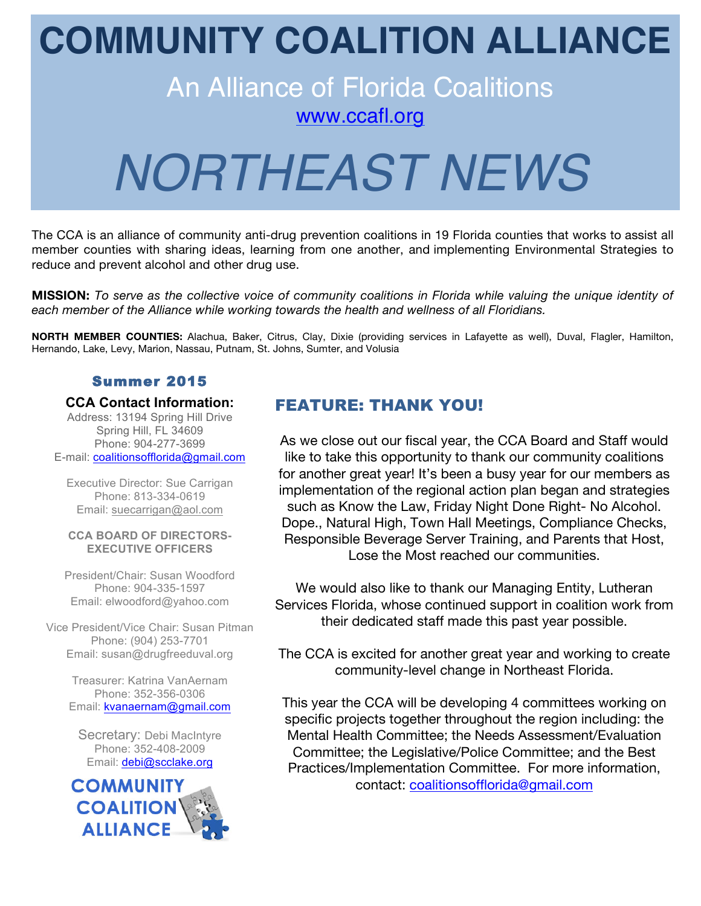# **COMMUNITY COALITION ALLIANCE**

# An Alliance of Florida Coalitions

www.ccafl.org

# *NORTHEAST NEWS*

The CCA is an alliance of community anti-drug prevention coalitions in 19 Florida counties that works to assist all member counties with sharing ideas, learning from one another, and implementing Environmental Strategies to reduce and prevent alcohol and other drug use.

**MISSION:** *To serve as the collective voice of community coalitions in Florida while valuing the unique identity of each member of the Alliance while working towards the health and wellness of all Floridians.*

**NORTH MEMBER COUNTIES:** Alachua, Baker, Citrus, Clay, Dixie (providing services in Lafayette as well), Duval, Flagler, Hamilton, Hernando, Lake, Levy, Marion, Nassau, Putnam, St. Johns, Sumter, and Volusia

#### Summer 2015

#### **CCA Contact Information:**

Address: 13194 Spring Hill Drive Spring Hill, FL 34609 Phone: 904-277-3699 E-mail: coalitionsofflorida@gmail.com

Executive Director: Sue Carrigan Phone: 813-334-0619 Email: suecarrigan@aol.com

#### **CCA BOARD OF DIRECTORS-EXECUTIVE OFFICERS**

President/Chair: Susan Woodford Phone: 904-335-1597 Email: elwoodford@yahoo.com

Vice President/Vice Chair: Susan Pitman Phone: (904) 253-7701 Email: susan@drugfreeduval.org

> Treasurer: Katrina VanAernam Phone: 352-356-0306 Email: kvanaernam@gmail.com

Secretary: Debi MacIntyre Phone: 352-408-2009 Email: debi@scclake.org



# FEATURE: THANK YOU!

As we close out our fiscal year, the CCA Board and Staff would like to take this opportunity to thank our community coalitions for another great year! It's been a busy year for our members as implementation of the regional action plan began and strategies such as Know the Law, Friday Night Done Right- No Alcohol. Dope., Natural High, Town Hall Meetings, Compliance Checks, Responsible Beverage Server Training, and Parents that Host, Lose the Most reached our communities.

We would also like to thank our Managing Entity, Lutheran Services Florida, whose continued support in coalition work from their dedicated staff made this past year possible.

The CCA is excited for another great year and working to create community-level change in Northeast Florida.

This year the CCA will be developing 4 committees working on specific projects together throughout the region including: the Mental Health Committee; the Needs Assessment/Evaluation Committee; the Legislative/Police Committee; and the Best Practices/Implementation Committee. For more information, contact: coalitionsofflorida@gmail.com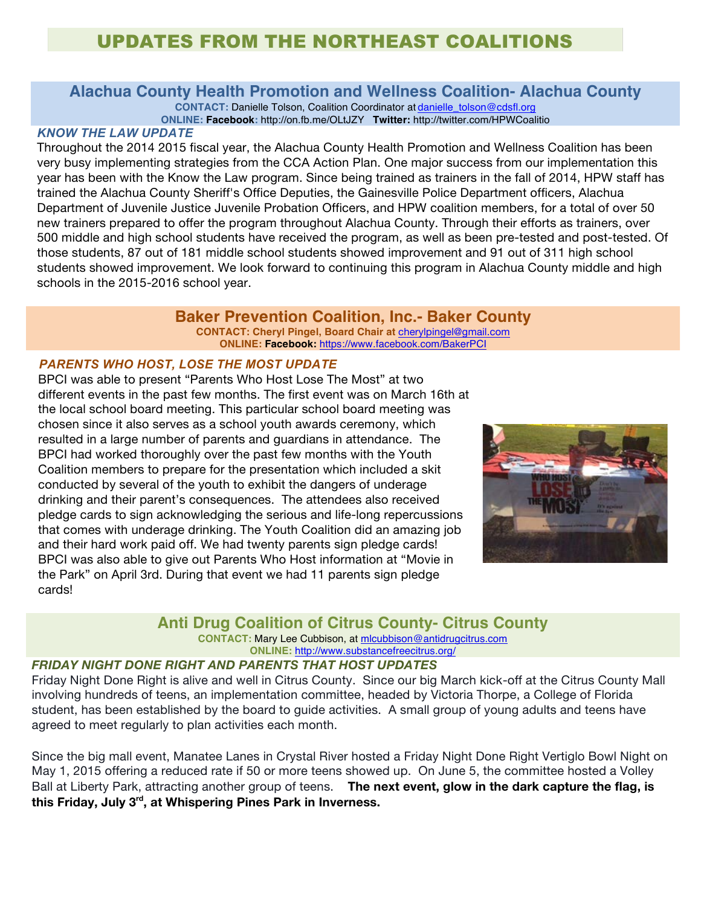# UPDATES FROM THE NORTHEAST COALITIONS

# **Alachua County Health Promotion and Wellness Coalition- Alachua County**

**CONTACT:** Danielle Tolson, Coalition Coordinator at danielle\_tolson@cdsfl.org

**ONLINE: Facebook:** http://on.fb.me/OLtJZY **Twitter:** http://twitter.com/HPWCoalitio

#### *KNOW THE LAW UPDATE*

Throughout the 2014 2015 fiscal year, the Alachua County Health Promotion and Wellness Coalition has been very busy implementing strategies from the CCA Action Plan. One major success from our implementation this year has been with the Know the Law program. Since being trained as trainers in the fall of 2014, HPW staff has trained the Alachua County Sheriff's Office Deputies, the Gainesville Police Department officers, Alachua Department of Juvenile Justice Juvenile Probation Officers, and HPW coalition members, for a total of over 50 new trainers prepared to offer the program throughout Alachua County. Through their efforts as trainers, over 500 middle and high school students have received the program, as well as been pre-tested and post-tested. Of those students, 87 out of 181 middle school students showed improvement and 91 out of 311 high school students showed improvement. We look forward to continuing this program in Alachua County middle and high schools in the 2015-2016 school year.

#### **Baker Prevention Coalition, Inc.- Baker County**

**CONTACT: Cheryl Pingel, Board Chair at** cherylpingel@gmail.com **ONLINE: Facebook:** https://www.facebook.com/BakerPCI

#### *PARENTS WHO HOST, LOSE THE MOST UPDATE*

BPCI was able to present "Parents Who Host Lose The Most" at two different events in the past few months. The first event was on March 16th at the local school board meeting. This particular school board meeting was chosen since it also serves as a school youth awards ceremony, which resulted in a large number of parents and guardians in attendance. The BPCI had worked thoroughly over the past few months with the Youth Coalition members to prepare for the presentation which included a skit conducted by several of the youth to exhibit the dangers of underage drinking and their parent's consequences. The attendees also received pledge cards to sign acknowledging the serious and life-long repercussions that comes with underage drinking. The Youth Coalition did an amazing job and their hard work paid off. We had twenty parents sign pledge cards! BPCI was also able to give out Parents Who Host information at "Movie in the Park" on April 3rd. During that event we had 11 parents sign pledge cards!



#### **Anti Drug Coalition of Citrus County- Citrus County**

**CONTACT:** Mary Lee Cubbison, at mlcubbison@antidrugcitrus.com

**ONLINE:** http://www.substancefreecitrus.org/

#### *FRIDAY NIGHT DONE RIGHT AND PARENTS THAT HOST UPDATES*

Friday Night Done Right is alive and well in Citrus County. Since our big March kick-off at the Citrus County Mall involving hundreds of teens, an implementation committee, headed by Victoria Thorpe, a College of Florida student, has been established by the board to guide activities. A small group of young adults and teens have agreed to meet regularly to plan activities each month.

Since the big mall event, Manatee Lanes in Crystal River hosted a Friday Night Done Right Vertiglo Bowl Night on May 1, 2015 offering a reduced rate if 50 or more teens showed up. On June 5, the committee hosted a Volley Ball at Liberty Park, attracting another group of teens. **The next event, glow in the dark capture the flag, is this Friday, July 3rd, at Whispering Pines Park in Inverness.**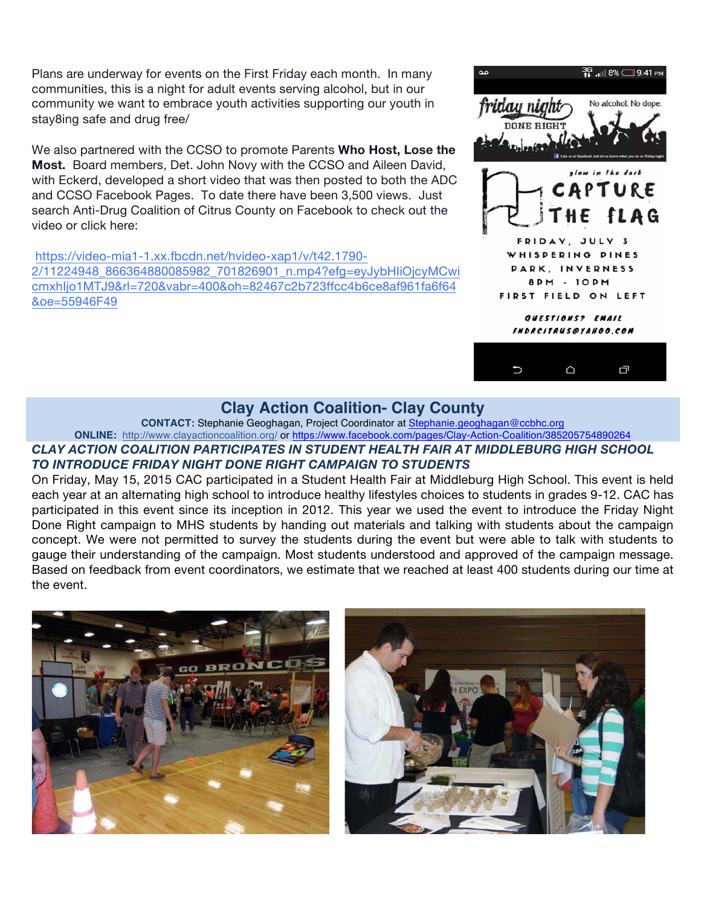Plans are underway for events on the First Friday each month. In many communities, this is a night for adult events serving alcohol, but in our community we want to embrace youth activities supporting our youth in stay8ing safe and drug free/

We also partnered with the CCSO to promote Parents **Who Host, Lose the Most.** Board members, Det. John Novy with the CCSO and Aileen David, with Eckerd, developed a short video that was then posted to both the ADC and CCSO Facebook Pages. To date there have been 3,500 views. Just search Anti-Drug Coalition of Citrus County on Facebook to check out the video or click here:

https://video-mia1-1.xx.fbcdn.net/hvideo-xap1/v/t42.1790- 2/11224948\_866364880085982\_701826901\_n.mp4?efg=eyJybHIiOjcyMCwi cmxhIjo1MTJ9&rl=720&vabr=400&oh=82467c2b723ffcc4b6ce8af961fa6f64 &oe=55946F49



#### **Clay Action Coalition- Clay County**

**CONTACT:** Stephanie Geoghagan, Project Coordinator at Stephanie.geoghagan@ccbhc.org

**ONLINE:** http://www.clayactioncoalition.org/ or https://www.facebook.com/pages/Clay-Action-Coalition/385205754890264

#### *CLAY ACTION COALITION PARTICIPATES IN STUDENT HEALTH FAIR AT MIDDLEBURG HIGH SCHOOL TO INTRODUCE FRIDAY NIGHT DONE RIGHT CAMPAIGN TO STUDENTS*

On Friday, May 15, 2015 CAC participated in a Student Health Fair at Middleburg High School. This event is held each year at an alternating high school to introduce healthy lifestyles choices to students in grades 9-12. CAC has participated in this event since its inception in 2012. This year we used the event to introduce the Friday Night Done Right campaign to MHS students by handing out materials and talking with students about the campaign concept. We were not permitted to survey the students during the event but were able to talk with students to gauge their understanding of the campaign. Most students understood and approved of the campaign message. Based on feedback from event coordinators, we estimate that we reached at least 400 students during our time at the event.

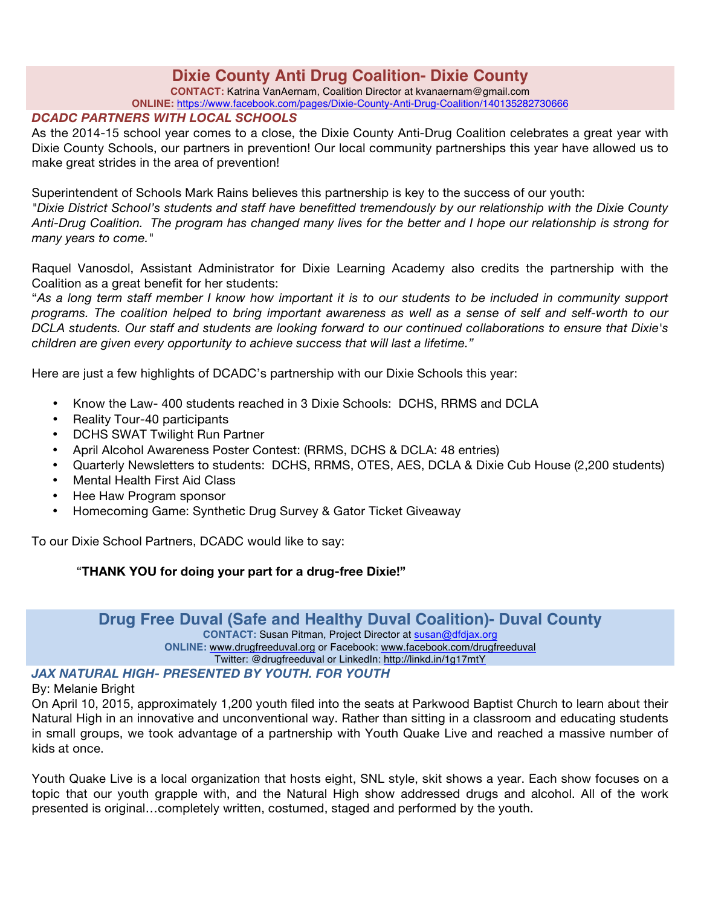# **Dixie County Anti Drug Coalition- Dixie County**

**CONTACT:** Katrina VanAernam, Coalition Director at kvanaernam@gmail.com

**ONLINE:** https://www.facebook.com/pages/Dixie-County-Anti-Drug-Coalition/140135282730666

#### *DCADC PARTNERS WITH LOCAL SCHOOLS*

As the 2014-15 school year comes to a close, the Dixie County Anti-Drug Coalition celebrates a great year with Dixie County Schools, our partners in prevention! Our local community partnerships this year have allowed us to make great strides in the area of prevention!

Superintendent of Schools Mark Rains believes this partnership is key to the success of our youth:

*"Dixie District School's students and staff have benefitted tremendously by our relationship with the Dixie County Anti-Drug Coalition. The program has changed many lives for the better and I hope our relationship is strong for many years to come."*

Raquel Vanosdol, Assistant Administrator for Dixie Learning Academy also credits the partnership with the Coalition as a great benefit for her students:

"*As a long term staff member I know how important it is to our students to be included in community support programs. The coalition helped to bring important awareness as well as a sense of self and self-worth to our DCLA students. Our staff and students are looking forward to our continued collaborations to ensure that Dixie's children are given every opportunity to achieve success that will last a lifetime."* 

Here are just a few highlights of DCADC's partnership with our Dixie Schools this year:

- Know the Law- 400 students reached in 3 Dixie Schools: DCHS, RRMS and DCLA
- Reality Tour-40 participants
- DCHS SWAT Twilight Run Partner
- April Alcohol Awareness Poster Contest: (RRMS, DCHS & DCLA: 48 entries)
- Quarterly Newsletters to students: DCHS, RRMS, OTES, AES, DCLA & Dixie Cub House (2,200 students)
- Mental Health First Aid Class
- Hee Haw Program sponsor
- Homecoming Game: Synthetic Drug Survey & Gator Ticket Giveaway

To our Dixie School Partners, DCADC would like to say:

#### "**THANK YOU for doing your part for a drug-free Dixie!"**

#### **Drug Free Duval (Safe and Healthy Duval Coalition)- Duval County**

**CONTACT:** Susan Pitman, Project Director at susan@dfdjax.org **ONLINE:** www.drugfreeduval.org or Facebook: www.facebook.com/drugfreeduval

Twitter: @drugfreeduval or LinkedIn: http://linkd.in/1g17mtY

#### *JAX NATURAL HIGH- PRESENTED BY YOUTH. FOR YOUTH*

By: Melanie Bright

On April 10, 2015, approximately 1,200 youth filed into the seats at Parkwood Baptist Church to learn about their Natural High in an innovative and unconventional way. Rather than sitting in a classroom and educating students in small groups, we took advantage of a partnership with Youth Quake Live and reached a massive number of kids at once.

Youth Quake Live is a local organization that hosts eight, SNL style, skit shows a year. Each show focuses on a topic that our youth grapple with, and the Natural High show addressed drugs and alcohol. All of the work presented is original…completely written, costumed, staged and performed by the youth.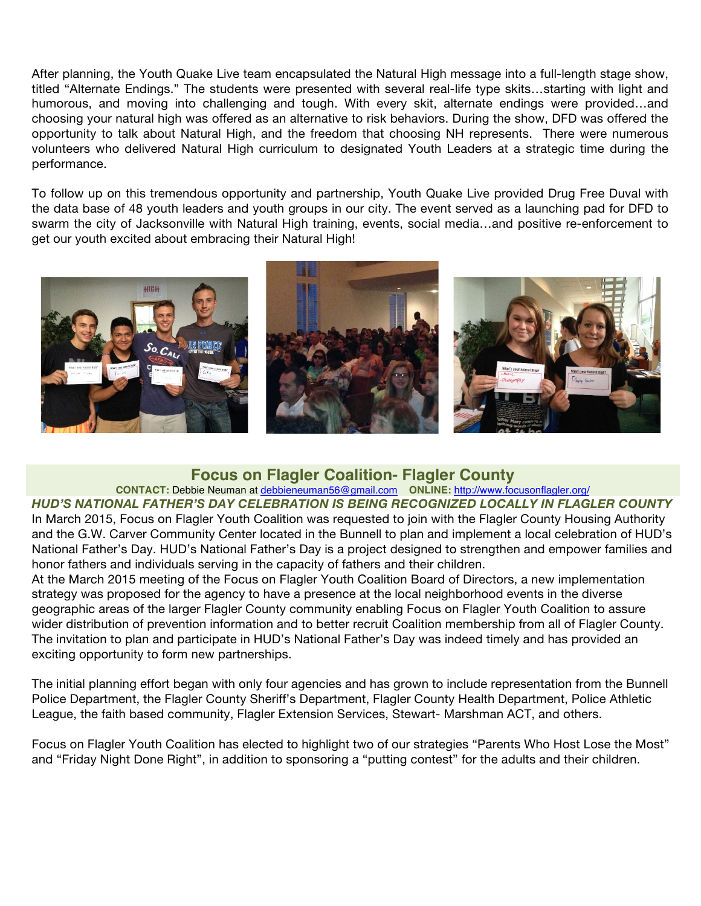After planning, the Youth Quake Live team encapsulated the Natural High message into a full-length stage show, titled "Alternate Endings." The students were presented with several real-life type skits…starting with light and humorous, and moving into challenging and tough. With every skit, alternate endings were provided…and choosing your natural high was offered as an alternative to risk behaviors. During the show, DFD was offered the opportunity to talk about Natural High, and the freedom that choosing NH represents. There were numerous volunteers who delivered Natural High curriculum to designated Youth Leaders at a strategic time during the performance.

To follow up on this tremendous opportunity and partnership, Youth Quake Live provided Drug Free Duval with the data base of 48 youth leaders and youth groups in our city. The event served as a launching pad for DFD to swarm the city of Jacksonville with Natural High training, events, social media…and positive re-enforcement to get our youth excited about embracing their Natural High!



#### **Focus on Flagler Coalition- Flagler County**

#### **CONTACT:** Debbie Neuman at debbieneuman56@gmail.com **ONLINE:** http://www.focusonflagler.org/

*HUD'S NATIONAL FATHER'S DAY CELEBRATION IS BEING RECOGNIZED LOCALLY IN FLAGLER COUNTY* In March 2015, Focus on Flagler Youth Coalition was requested to join with the Flagler County Housing Authority and the G.W. Carver Community Center located in the Bunnell to plan and implement a local celebration of HUD's National Father's Day. HUD's National Father's Day is a project designed to strengthen and empower families and honor fathers and individuals serving in the capacity of fathers and their children.

At the March 2015 meeting of the Focus on Flagler Youth Coalition Board of Directors, a new implementation strategy was proposed for the agency to have a presence at the local neighborhood events in the diverse geographic areas of the larger Flagler County community enabling Focus on Flagler Youth Coalition to assure wider distribution of prevention information and to better recruit Coalition membership from all of Flagler County. The invitation to plan and participate in HUD's National Father's Day was indeed timely and has provided an exciting opportunity to form new partnerships.

The initial planning effort began with only four agencies and has grown to include representation from the Bunnell Police Department, the Flagler County Sheriff's Department, Flagler County Health Department, Police Athletic League, the faith based community, Flagler Extension Services, Stewart- Marshman ACT, and others.

Focus on Flagler Youth Coalition has elected to highlight two of our strategies "Parents Who Host Lose the Most" and "Friday Night Done Right", in addition to sponsoring a "putting contest" for the adults and their children.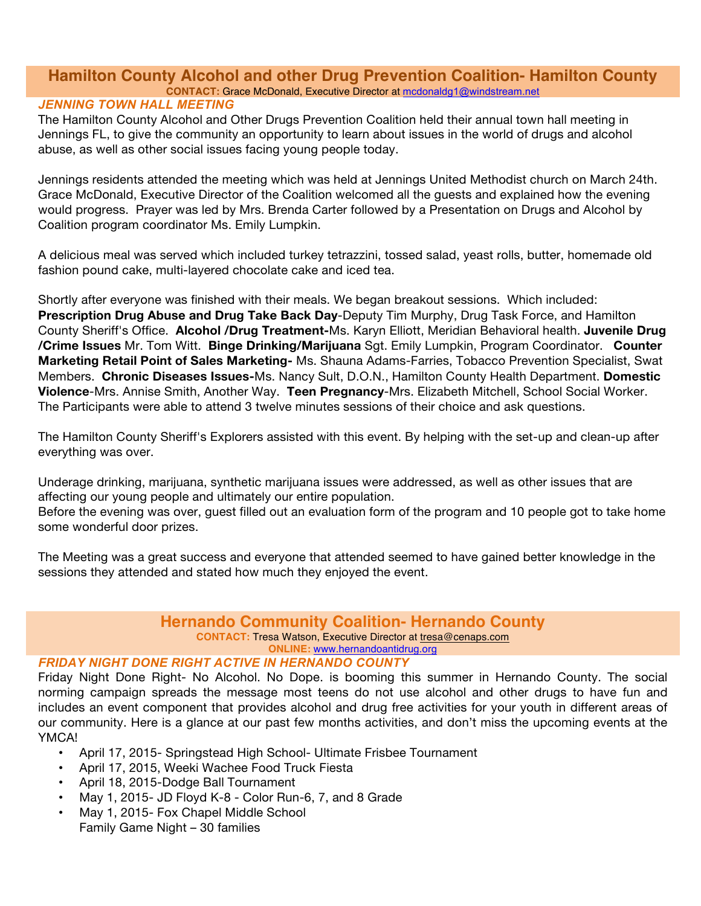#### **Hamilton County Alcohol and other Drug Prevention Coalition- Hamilton County CONTACT:** Grace McDonald, Executive Director at mcdonaldg1@windstream.net

#### *JENNING TOWN HALL MEETING*

The Hamilton County Alcohol and Other Drugs Prevention Coalition held their annual town hall meeting in Jennings FL, to give the community an opportunity to learn about issues in the world of drugs and alcohol abuse, as well as other social issues facing young people today.

Jennings residents attended the meeting which was held at Jennings United Methodist church on March 24th. Grace McDonald, Executive Director of the Coalition welcomed all the guests and explained how the evening would progress. Prayer was led by Mrs. Brenda Carter followed by a Presentation on Drugs and Alcohol by Coalition program coordinator Ms. Emily Lumpkin.

A delicious meal was served which included turkey tetrazzini, tossed salad, yeast rolls, butter, homemade old fashion pound cake, multi-layered chocolate cake and iced tea.

Shortly after everyone was finished with their meals. We began breakout sessions. Which included: **Prescription Drug Abuse and Drug Take Back Day**-Deputy Tim Murphy, Drug Task Force, and Hamilton County Sheriff's Office. **Alcohol /Drug Treatment-**Ms. Karyn Elliott, Meridian Behavioral health. **Juvenile Drug /Crime Issues** Mr. Tom Witt. **Binge Drinking/Marijuana** Sgt. Emily Lumpkin, Program Coordinator. **Counter Marketing Retail Point of Sales Marketing-** Ms. Shauna Adams-Farries, Tobacco Prevention Specialist, Swat Members. **Chronic Diseases Issues-**Ms. Nancy Sult, D.O.N., Hamilton County Health Department. **Domestic Violence**-Mrs. Annise Smith, Another Way. **Teen Pregnancy**-Mrs. Elizabeth Mitchell, School Social Worker. The Participants were able to attend 3 twelve minutes sessions of their choice and ask questions.

The Hamilton County Sheriff's Explorers assisted with this event. By helping with the set-up and clean-up after everything was over.

Underage drinking, marijuana, synthetic marijuana issues were addressed, as well as other issues that are affecting our young people and ultimately our entire population.

Before the evening was over, guest filled out an evaluation form of the program and 10 people got to take home some wonderful door prizes.

The Meeting was a great success and everyone that attended seemed to have gained better knowledge in the sessions they attended and stated how much they enjoyed the event.

#### **Hernando Community Coalition- Hernando County CONTACT:** Tresa Watson, Executive Director at tresa@cenaps.com

**ONLINE:** www.hernandoantidrug.org

#### *FRIDAY NIGHT DONE RIGHT ACTIVE IN HERNANDO COUNTY*

Friday Night Done Right- No Alcohol. No Dope. is booming this summer in Hernando County. The social norming campaign spreads the message most teens do not use alcohol and other drugs to have fun and includes an event component that provides alcohol and drug free activities for your youth in different areas of our community. Here is a glance at our past few months activities, and don't miss the upcoming events at the YMCA!

- April 17, 2015- Springstead High School- Ultimate Frisbee Tournament
- April 17, 2015, Weeki Wachee Food Truck Fiesta
- April 18, 2015-Dodge Ball Tournament
- May 1, 2015- JD Floyd K-8 Color Run-6, 7, and 8 Grade
- May 1, 2015- Fox Chapel Middle School Family Game Night – 30 families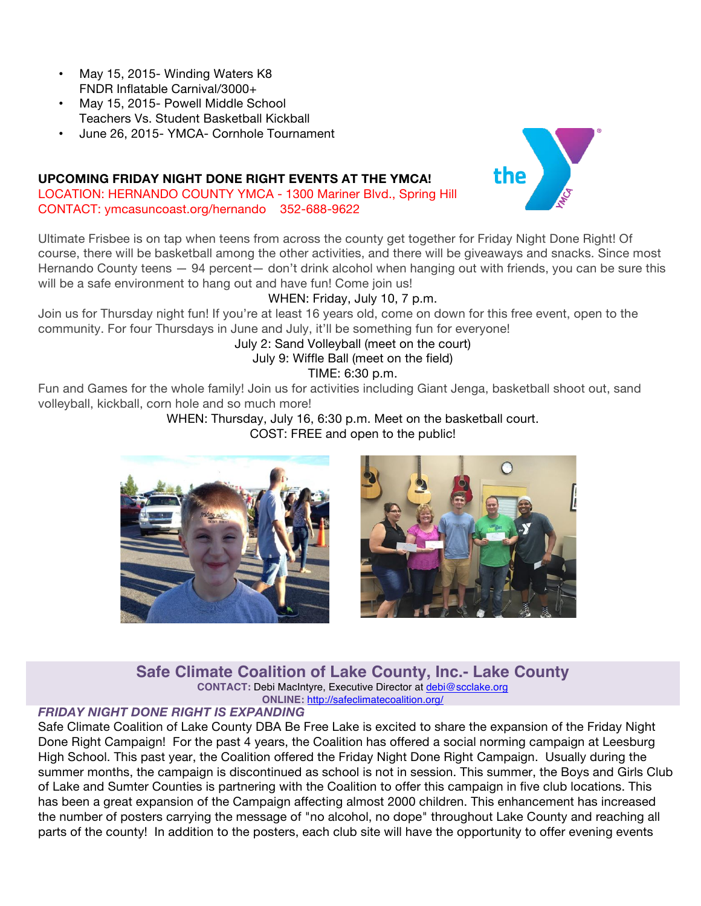- May 15, 2015- Winding Waters K8 FNDR Inflatable Carnival/3000+
- May 15, 2015- Powell Middle School Teachers Vs. Student Basketball Kickball
- June 26, 2015- YMCA- Cornhole Tournament

#### **UPCOMING FRIDAY NIGHT DONE RIGHT EVENTS AT THE YMCA!**

LOCATION: HERNANDO COUNTY YMCA - 1300 Mariner Blvd., Spring Hill CONTACT: ymcasuncoast.org/hernando 352-688-9622



#### WHEN: Friday, July 10, 7 p.m.

Join us for Thursday night fun! If you're at least 16 years old, come on down for this free event, open to the community. For four Thursdays in June and July, it'll be something fun for everyone!

#### July 2: Sand Volleyball (meet on the court)

July 9: Wiffle Ball (meet on the field)

TIME: 6:30 p.m.

Fun and Games for the whole family! Join us for activities including Giant Jenga, basketball shoot out, sand volleyball, kickball, corn hole and so much more!

> WHEN: Thursday, July 16, 6:30 p.m. Meet on the basketball court. COST: FREE and open to the public!





the

**Safe Climate Coalition of Lake County, Inc.- Lake County**

**CONTACT:** Debi MacIntyre, Executive Director at debi@scclake.org **ONLINE:** http://safeclimatecoalition.org/

#### *FRIDAY NIGHT DONE RIGHT IS EXPANDING*

Safe Climate Coalition of Lake County DBA Be Free Lake is excited to share the expansion of the Friday Night Done Right Campaign! For the past 4 years, the Coalition has offered a social norming campaign at Leesburg High School. This past year, the Coalition offered the Friday Night Done Right Campaign. Usually during the summer months, the campaign is discontinued as school is not in session. This summer, the Boys and Girls Club of Lake and Sumter Counties is partnering with the Coalition to offer this campaign in five club locations. This has been a great expansion of the Campaign affecting almost 2000 children. This enhancement has increased the number of posters carrying the message of "no alcohol, no dope" throughout Lake County and reaching all parts of the county! In addition to the posters, each club site will have the opportunity to offer evening events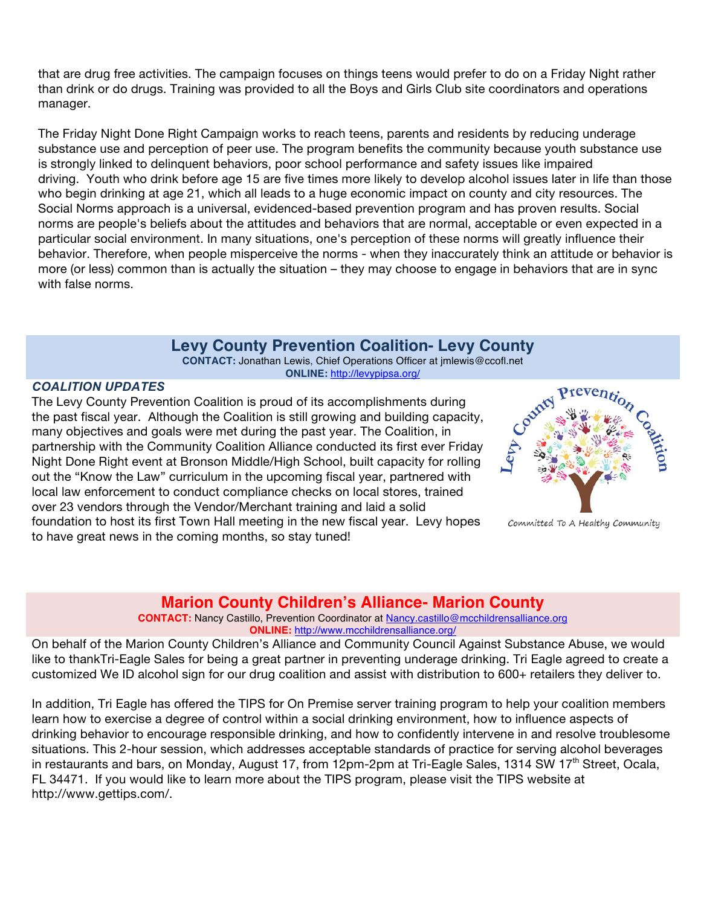that are drug free activities. The campaign focuses on things teens would prefer to do on a Friday Night rather than drink or do drugs. Training was provided to all the Boys and Girls Club site coordinators and operations manager.

The Friday Night Done Right Campaign works to reach teens, parents and residents by reducing underage substance use and perception of peer use. The program benefits the community because youth substance use is strongly linked to delinquent behaviors, poor school performance and safety issues like impaired driving. Youth who drink before age 15 are five times more likely to develop alcohol issues later in life than those who begin drinking at age 21, which all leads to a huge economic impact on county and city resources. The Social Norms approach is a universal, evidenced-based prevention program and has proven results. Social norms are people's beliefs about the attitudes and behaviors that are normal, acceptable or even expected in a particular social environment. In many situations, one's perception of these norms will greatly influence their behavior. Therefore, when people misperceive the norms - when they inaccurately think an attitude or behavior is more (or less) common than is actually the situation – they may choose to engage in behaviors that are in sync with false norms.

# **Levy County Prevention Coalition- Levy County**

**CONTACT:** Jonathan Lewis, Chief Operations Officer at jmlewis@ccofl.net **ONLINE:** http://levypipsa.org/

#### *COALITION UPDATES*

The Levy County Prevention Coalition is proud of its accomplishments during the past fiscal year. Although the Coalition is still growing and building capacity, many objectives and goals were met during the past year. The Coalition, in partnership with the Community Coalition Alliance conducted its first ever Friday Night Done Right event at Bronson Middle/High School, built capacity for rolling out the "Know the Law" curriculum in the upcoming fiscal year, partnered with local law enforcement to conduct compliance checks on local stores, trained over 23 vendors through the Vendor/Merchant training and laid a solid foundation to host its first Town Hall meeting in the new fiscal year. Levy hopes to have great news in the coming months, so stay tuned!



Committed To A Healthy Community

#### **Marion County Children's Alliance- Marion County**

**CONTACT:** Nancy Castillo, Prevention Coordinator at Nancy.castillo@mcchildrensalliance.org **ONLINE:** http://www.mcchildrensalliance.org/

On behalf of the Marion County Children's Alliance and Community Council Against Substance Abuse, we would like to thankTri-Eagle Sales for being a great partner in preventing underage drinking. Tri Eagle agreed to create a customized We ID alcohol sign for our drug coalition and assist with distribution to 600+ retailers they deliver to.

In addition, Tri Eagle has offered the TIPS for On Premise server training program to help your coalition members learn how to exercise a degree of control within a social drinking environment, how to influence aspects of drinking behavior to encourage responsible drinking, and how to confidently intervene in and resolve troublesome situations. This 2-hour session, which addresses acceptable standards of practice for serving alcohol beverages in restaurants and bars, on Monday, August 17, from 12pm-2pm at Tri-Eagle Sales, 1314 SW 17<sup>th</sup> Street, Ocala, FL 34471. If you would like to learn more about the TIPS program, please visit the TIPS website at http://www.gettips.com/.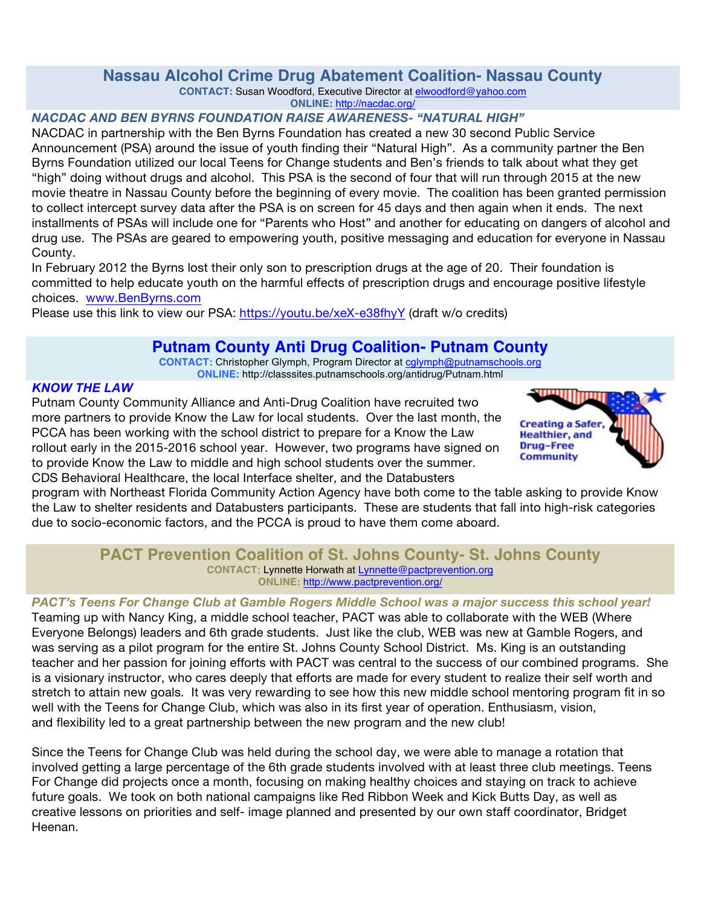# **Nassau Alcohol Crime Drug Abatement Coalition- Nassau County**

**CONTACT:** Susan Woodford, Executive Director at elwoodford@yahoo.com

**ONLINE:** http://nacdac.org/

# *NACDAC AND BEN BYRNS FOUNDATION RAISE AWARENESS- "NATURAL HIGH"*

NACDAC in partnership with the Ben Byrns Foundation has created a new 30 second Public Service Announcement (PSA) around the issue of youth finding their "Natural High". As a community partner the Ben Byrns Foundation utilized our local Teens for Change students and Ben's friends to talk about what they get "high" doing without drugs and alcohol. This PSA is the second of four that will run through 2015 at the new movie theatre in Nassau County before the beginning of every movie. The coalition has been granted permission to collect intercept survey data after the PSA is on screen for 45 days and then again when it ends. The next installments of PSAs will include one for "Parents who Host" and another for educating on dangers of alcohol and drug use. The PSAs are geared to empowering youth, positive messaging and education for everyone in Nassau County.

In February 2012 the Byrns lost their only son to prescription drugs at the age of 20. Their foundation is committed to help educate youth on the harmful effects of prescription drugs and encourage positive lifestyle choices. www.BenByrns.com

Please use this link to view our PSA: https://youtu.be/xeX-e38fhyY (draft w/o credits)

# **Putnam County Anti Drug Coalition- Putnam County**

**CONTACT:** Christopher Glymph, Program Director at cglymph@putnamschools.org **ONLINE:** http://classsites.putnamschools.org/antidrug/Putnam.html

# *KNOW THE LAW*

Putnam County Community Alliance and Anti-Drug Coalition have recruited two more partners to provide Know the Law for local students. Over the last month, the PCCA has been working with the school district to prepare for a Know the Law rollout early in the 2015-2016 school year. However, two programs have signed on to provide Know the Law to middle and high school students over the summer. CDS Behavioral Healthcare, the local Interface shelter, and the Databusters



program with Northeast Florida Community Action Agency have both come to the table asking to provide Know the Law to shelter residents and Databusters participants. These are students that fall into high-risk categories due to socio-economic factors, and the PCCA is proud to have them come aboard.

#### **PACT Prevention Coalition of St. Johns County- St. Johns County CONTACT:** Lynnette Horwath at Lynnette@pactprevention.org **ONLINE:** http://www.pactprevention.org/

#### *PACT's Teens For Change Club at Gamble Rogers Middle School was a major success this school year!* Teaming up with Nancy King, a middle school teacher, PACT was able to collaborate with the WEB (Where Everyone Belongs) leaders and 6th grade students. Just like the club, WEB was new at Gamble Rogers, and was serving as a pilot program for the entire St. Johns County School District. Ms. King is an outstanding teacher and her passion for joining efforts with PACT was central to the success of our combined programs. She is a visionary instructor, who cares deeply that efforts are made for every student to realize their self worth and stretch to attain new goals. It was very rewarding to see how this new middle school mentoring program fit in so well with the Teens for Change Club, which was also in its first year of operation. Enthusiasm, vision, and flexibility led to a great partnership between the new program and the new club!

Since the Teens for Change Club was held during the school day, we were able to manage a rotation that involved getting a large percentage of the 6th grade students involved with at least three club meetings. Teens For Change did projects once a month, focusing on making healthy choices and staying on track to achieve future goals. We took on both national campaigns like Red Ribbon Week and Kick Butts Day, as well as creative lessons on priorities and self- image planned and presented by our own staff coordinator, Bridget Heenan.